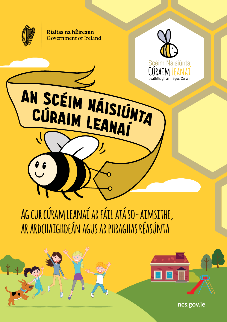

Rialtas na hÉireann Government of Ireland



**Ag cur cúram leanaí ar fáil atá so-aimsithe, ar ardchaighdeán agus ar phraghas réasúnta**

**ncs.gov.ie**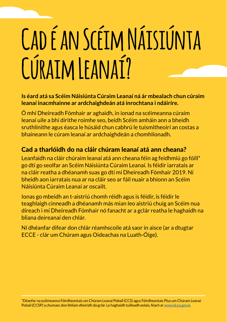# **Cad é an Scéim Náisiúnta Cúraim Leanaí?**

#### **Is éard atá sa Scéim Náisiúnta Cúraim Leanaí ná ár mbealach chun cúraim leanaí inacmhainne ar ardchaighdeán atá inrochtana i ndáiríre.**

Ó mhí Dheireadh Fómhair ar aghaidh, in ionad na scéimeanna cúraim leanaí uile a bhí dírithe roimhe seo, beidh Scéim amháin ann a bheidh sruthlínithe agus éasca le húsáid chun cabhrú le tuismitheoirí an costas a bhaineann le cúram leanaí ar ardchaighdeán a chomhlíonadh.

#### Cad a tharlóidh do na cláir chúram leanaí atá ann cheana?

Leanfaidh na cláir chúraim leanaí atá ann cheana féin ag feidhmiú go fóill\* go dtí go seolfar an Scéim Náisiúnta Cúraim Leanaí. Is féidir iarratais ar na cláir reatha a dhéanamh suas go dtí mí Dheireadh Fómhair 2019. Ní bheidh aon iarratais nua ar na cláir seo ar fáil nuair a bhíonn an Scéim Náisiúnta Cúraim Leanaí ar oscailt.

Ionas go mbeidh an t-aistriú chomh réidh agus is féidir, is féidir le teaghlaigh cinneadh a dhéanamh más mian leo aistriú chuig an Scéim nua díreach i mí Dheireadh Fómhair nó fanacht ar a gclár reatha le haghaidh na bliana deireanaí den chlár.

Ní dhéanfar difear don chlár réamhscoile atá saor in aisce (ar a dtugtar ECCE - clár um Chúram agus Oideachas na Luath-Óige).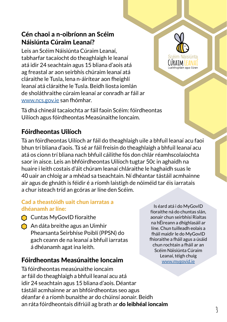#### Cén chaoi a n-oibríonn an Scéim Náisiúnta Cúraim Leanaí?

Leis an Scéim Náisiúnta Cúraim Leanaí, tabharfar tacaíocht do theaghlaigh le leanaí atá idir 24 seachtain agus 15 bliana d'aois atá ag freastal ar aon seirbhís chúraim leanaí atá cláraithe le Tusla, lena n-áirítear aon fheighlí leanaí atá cláraithe le Tusla. Beidh liosta iomlán de sholáthraithe cúraim leanaí ar conradh ar fáil ar www.ncs.gov.ie san fhómhar.

Tá dhá chineál tacaíochta ar fáil faoin Scéim: fóirdheontas Uilíoch agus fóirdheontas Measúnaithe Ioncaim.

#### Fóirdheontas Uilíoch

Tá an fóirdheontas Uilíoch ar fáil do theaghlaigh uile a bhfuil leanaí acu faoi bhun trí bliana d'aois. Tá sé ar fáil freisin do theaghlaigh a bhfuil leanaí acu atá os cionn trí bliana nach bhfuil cáilithe fós don chlár réamhscolaíochta saor in aisce. Leis an bhfóirdheontas Uilíoch tugtar 50c in aghaidh na huaire i leith costais d'áit chúram leanaí chláraithe le haghaidh suas le 40 uair an chloig ar a mhéad sa tseachtain. Ní dhéantar tástáil acmhainne air agus de ghnáth is féidir é a ríomh laistigh de nóiméid tar éis iarratais a chur isteach tríd an gcóras ar líne den Scéim.

#### Cad a theastóidh uait chun iarratas a dhéanamh ar líne:

- Cuntas MyGovID fíoraithe
- $\bigcap$  An dáta breithe agus an Uimhir Phearsanta Seirbhíse Poiblí (PPSN) do gach ceann de na leanaí a bhfuil iarratas á dhéanamh agat ina leith.

#### Fóirdheontas Measúnaithe Ioncaim

Tá fóirdheontas measúnaithe ioncaim ar fáil do theaghlaigh a bhfuil leanaí acu atá idir 24 seachtain agus 15 bliana d'aois. Déantar tástáil acmhainne ar an bhfóirdheontas seo agus déanfar é a ríomh bunaithe ar do chúinsí aonair. Beidh an ráta fóirdheontais difriúil ag brath ar do leibhéal ioncaim

Is éard atá i do MyGovID fíoraithe ná do chuntas slán, aonair chun seirbhísí Rialtas na hÉireann a dhíghlasáil ar líne. Chun tuilleadh eolais a fháil maidir le do MyGovID fhíoraithe a fháil agus a úsáid chun rochtain a fháil ar an Scéim Náisiúnta Cúraim Leanaí, téigh chuig www.mygovid.ie

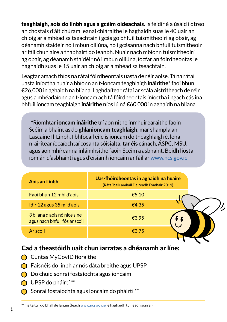teaghlaigh, aois do linbh agus a gcéim oideachais. Is féidir é a úsáid i dtreo an chostais d'áit chúram leanaí chláraithe le haghaidh suas le 40 uair an chloig ar a mhéad sa tseachtain i gcás go bhfuil tuismitheoirí ag obair, ag déanamh staidéir nó i mbun oiliúna, nó i gcásanna nach bhfuil tuismitheoir ar fáil chun aire a thabhairt do leanbh. Nuair nach mbíonn tuismitheoirí ag obair, ag déanamh staidéir nó i mbun oiliúna, íocfar an fóirdheontas le haghaidh suas le 15 uair an chloig ar a mhéad sa tseachtain.

Leagtar amach thíos na rátaí fóirdheontais uasta de réir aoise. Tá na rátaí uasta iníoctha nuair a bhíonn an t-ioncam teaghlaigh ináirithe\* faoi bhun €26,000 in aghaidh na bliana. Laghdaítear rátaí ar scála aistritheach de réir agus a mhéadaíonn an t-ioncam ach tá fóirdheontais iníoctha i ngach cás ina bhfuil ioncam teaghlaigh ináirithe níos lú ná €60,000 in aghaidh na bliana.

\*Ríomhtar ioncam ináirithe trí aon nithe inmhuirearaithe faoin Scéim a bhaint as do ghlanioncam teaghlaigh, mar shampla an Lascaine Il-Linbh. I bhfocail eile is ioncam do theaghlaigh é, lena n-áirítear íocaíochtaí cosanta sóisialta, tar éis cánach, ÁSPC, MSU, agus aon mhíreanna inláimhsithe faoin Scéim a asbhaint. Beidh liosta iomlán d'asbhaintí agus d'eisiamh ioncaim ar fáil ar www.ncs.gov.ie

| Aois an Linbh                                                 | Uas-fhóirdheontas in aghaidh na huaire<br>(Rátaí bailí amhail Deireadh Fómhair 2019) |
|---------------------------------------------------------------|--------------------------------------------------------------------------------------|
| Faoi bhun 12 mhí d'aois                                       | €5.10                                                                                |
| Idir 12 agus 35 mí d'aois                                     | €4.35                                                                                |
| 3 bliana d'aois nó níos sine<br>agus nach bhfuil fós ar scoil | €3.95                                                                                |
| Ar scoil                                                      | €3.75                                                                                |

#### Cad a theastóidh uait chun iarratas a dhéanamh ar líne:

- Cuntas MyGovID fíoraithe
- Faisnéis do linbh ar nós dáta breithe agus UPSP
- Do chuid sonraí fostaíochta agus ioncaim
- **O** UPSP do pháirtí \*\*

**4**

 $\bigcap$  Sonraí fostaíochta agus ioncaim do pháirtí \*\*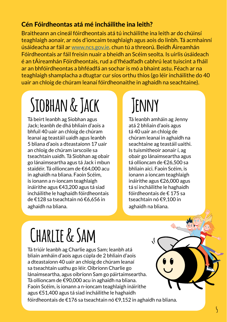#### Cén Fóirdheontas atá mé incháilithe ina leith?

Braitheann an cineál fóirdheontais atá tú incháilithe ina leith ar do chúinsí teaghlaigh aonair, ar nós d'ioncaim teaghlaigh agus aois do linbh. Tá acmhainní úsáideacha ar fáil ar www.ncs.gov.ie. chun tú a threorú. Beidh Áireamhán Fóirdheontais ar fáil freisin nuair a bheidh an Scéim seolta. Is uirlis úsáideach é an tÁireamhán Fóirdheontais, rud a d'fhéadfadh cabhrú leat tuiscint a fháil ar an bhfóirdheontas a bhféadfá an sochar is mó a bhaint astu. Féach ar na teaghlaigh shamplacha a dtugtar cur síos orthu thíos (go léir incháilithe do 40 uair an chloig de chúram leanaí fóirdheonaithe in aghaidh na seachtaine).

## **Siobhan & Jack**

Tá beirt leanbh ag Siobhan agus Jack; leanbh de dhá bhliain d'aois a bhfuil 40 uair an chloig de chúram leanaí ag teastáil uaidh agus leanbh 5 bliana d'aois a dteastaíonn 17 uair an chloig de chúram iarscoile sa tseachtain uaidh. Tá Siobhan ag obair go lánaimseartha agus tá Jack i mbun staidéir. Tá ollioncam de €64,000 acu in aghaidh na bliana. Faoin Scéim, is ionann a n-ioncam teaghlaigh ináirithe agus €43,200 agus tá siad incháilithe le haghaidh fóirdheontais de €128 sa tseachtain nó €6,656 in aghaidh na bliana.

### **Jenny**

Tá leanbh amháin ag Jenny atá 2 bhliain d'aois agus tá 40 uair an chloig de chúram leanaí in aghaidh na seachtaine ag teastáil uaithi. Is tuismitheoir aonair í, ag obair go lánaimseartha agus tá ollioncam de €26,500 sa bhliain aici. Faoin Scéim, is ionann a ioncam teaghlaigh ináirithe agus €26,000 agus tá sí incháilithe le haghaidh fóirdheontais de € 175 sa tseachtain nó €9,100 in aghaidh na bliana.

# **Charlie & Sam**

Tá triúir leanbh ag Charlie agus Sam; leanbh atá bliain amháin d'aois agus cúpla de 2 bhliain d'aois a dteastaíonn 40 uair an chloig de chúram leanaí sa tseachtain uathu go léir. Oibríonn Charlie go lánaimseartha, agus oibríonn Sam go páirtaimseartha. Tá ollioncam de €90,000 acu in aghaidh na bliana. Faoin Scéim, is ionann a n-ioncam teaghlaigh ináirithe agus €51,400 agus tá siad incháilithe le haghaidh fóirdheontais de €176 sa tseachtain nó €9,152 in aghaidh na bliana.

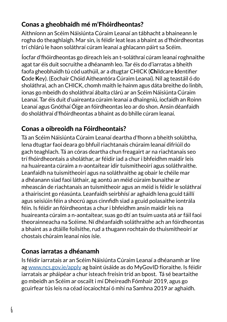### Conas a gheobhaidh mé m'Fhóirdheontas?

Aithníonn an Scéim Náisiúnta Cúraim Leanaí an tábhacht a bhaineann le rogha do theaghlaigh. Mar sin, is féidir leat leas a bhaint as d'fhóirdheontas trí chlárú le haon soláthraí cúram leanaí a ghlacann páirt sa Scéim.

Íocfar d'fhóirdheontas go díreach leis an t-soláthraí cúram leanaí roghnaithe agat tar éis duit socruithe a dhéanamh leo. Tar éis do d'iarratas a bheith faofa gheobhaidh tú cód uathúil, ar a dtugtar CHICK (Childcare Identifier Code Key). (Eochair Chóid Aitheantóra Cúraim Leanaí). Níl ag teastáil ó do sholáthraí, ach an CHICK, chomh maith le hainm agus dáta breithe do linbh, ionas go mbeidh do sholáthraí ábalta clárú ar an Scéim Náisiúnta Cúraim Leanaí. Tar éis duit d'uaireanta cúraim leanaí a dhaingniú, íocfaidh an Roinn Leanaí agus Gnóthaí Óige an fóirdheontas leo ar do shon. Ansin déanfaidh do sholáthraí d'fhóirdheontas a bhaint as do bhille cúram leanaí.

### Conas a oibreoidh na Fóirdheontais?

Tá an Scéim Náisiúnta Cúraim Leanaí deartha d'fhonn a bheith solúbtha, lena dtugtar faoi deara go bhfuil riachtanais chúraim leanaí difriúil do gach teaghlach. Tá an córas deartha chun freagairt ar na riachtanais seo trí fhóirdheontais a sholáthar, ar féidir iad a chur i bhfeidhm maidir leis na huaireanta cúraim a n-aontaítear idir tuismitheoirí agus soláthraithe. Leanfaidh na tuismitheoirí agus na soláthraithe ag obair le chéile mar a dhéanann siad faoi láthair, ag aontú an méid cúraim bunaithe ar mheascán de riachtanais an tuismitheoir agus an méid is féidir le soláthraí a thairiscint go réasúnta. Leanfaidh seirbhísí ar aghaidh lena gcuid táillí agus seisiúin féin a shocrú agus cinnfidh siad a gcuid polasaithe iontrála féin. Is féidir an fóirdheontas a chur i bhfeidhm ansin maidir leis na huaireanta cúraim a n-aontaítear, suas go dtí an tsuim uasta atá ar fáil faoi theorainneacha na Scéime. Ní dhéanfaidh soláthraithe ach an fóirdheontas a bhaint as a dtáille foilsithe, rud a thugann rochtain do thuismitheoirí ar chostais chúraim leanaí níos ísle.

#### Conas iarratas a dhéanamh

Is féidir iarratais ar an Scéim Náisiúnta Cúraim Leanaí a dhéanamh ar líne ag www.ncs.gov.ie/apply ag baint úsáide as do MyGovID fíoraithe. Is féidir iarratais ar pháipéar a chur isteach freisin tríd an bpost. Tá sé beartaithe go mbeidh an Scéim ar oscailt i mí Dheireadh Fómhair 2019, agus go gcuirfear tús leis na céad íocaíochtaí ó mhí na Samhna 2019 ar aghaidh.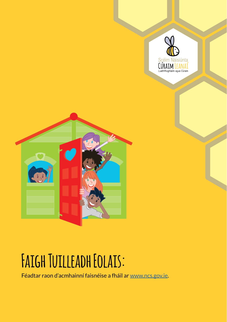



### **Faigh Tuilleadh Eolais:**

Féadtar raon d'acmhainní faisnéise a fháil ar www.ncs.gov.ie.